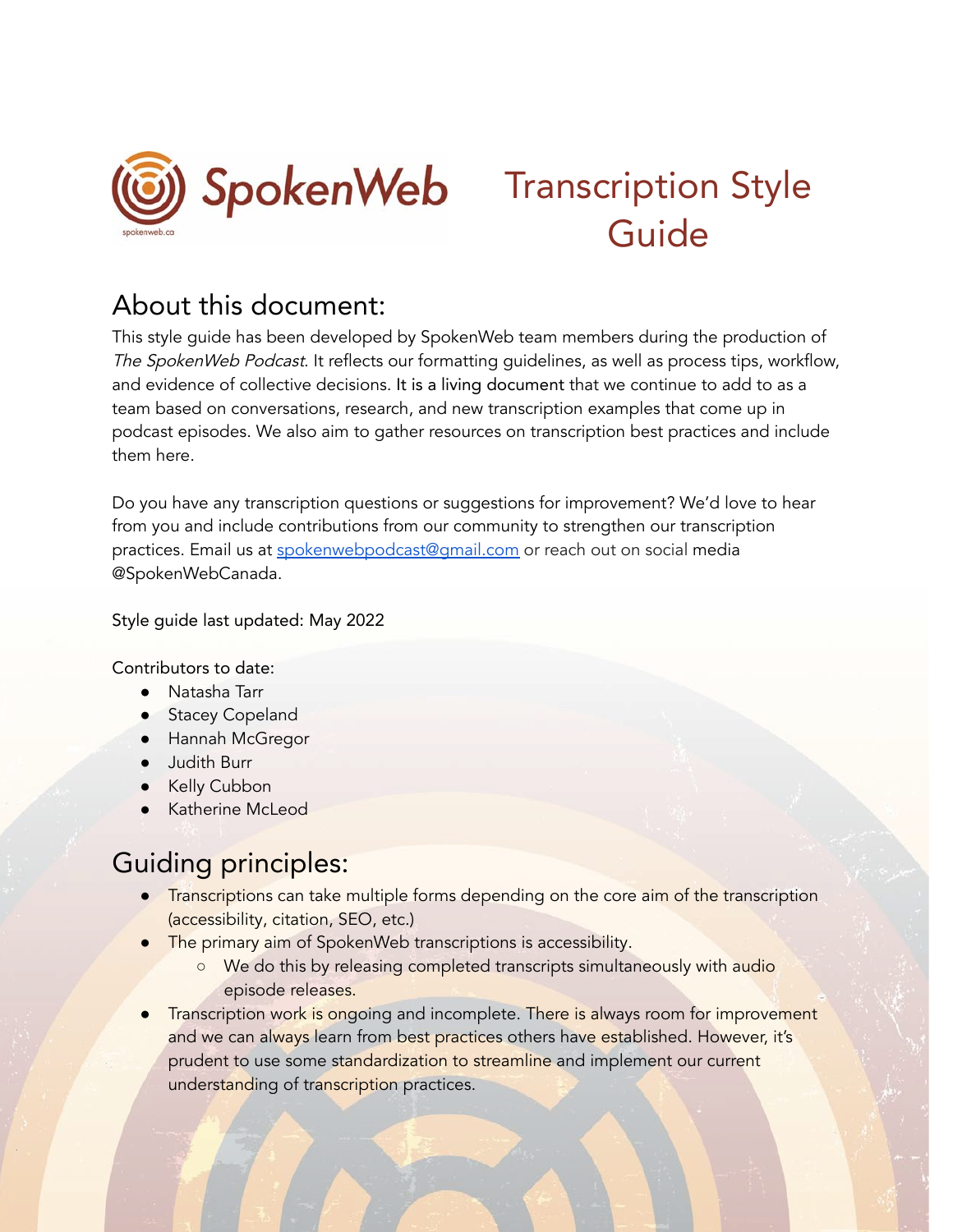

# SpokenWeb Transcription Style Guide

# About this document:

This style guide has been developed by SpokenWeb team members during the production of The SpokenWeb Podcast. It reflects our formatting quidelines, as well as process tips, workflow, and evidence of collective decisions. It is a living document that we continue to add to as a team based on conversations, research, and new transcription examples that come up in podcast episodes. We also aim to gather resources on transcription best practices and include them here.

Do you have any transcription questions or suggestions for improvement? We'd love to hear from you and include contributions from our community to strengthen our transcription practices. Email us at [spokenwebpodcast@gmail.com](mailto:spokenwebpodcast@gmail.com) or reach out on social media @SpokenWebCanada.

Style guide last updated: May 2022

Contributors to date:

- Natasha Tarr
- Stacey Copeland
- Hannah McGregor
- Judith Burr
- Kelly Cubbon
- Katherine McLeod

# Guiding principles:

- **Transcriptions can take multiple forms depending on the core aim of the transcription** (accessibility, citation, SEO, etc.)
- The primary aim of SpokenWeb transcriptions is accessibility.
	- We do this by releasing completed transcripts simultaneously with audio episode releases.
- Transcription work is ongoing and incomplete. There is always room for improvement and we can always learn from best practices others have established. However, it's prudent to use some standardization to streamline and implement our current understanding of transcription practices.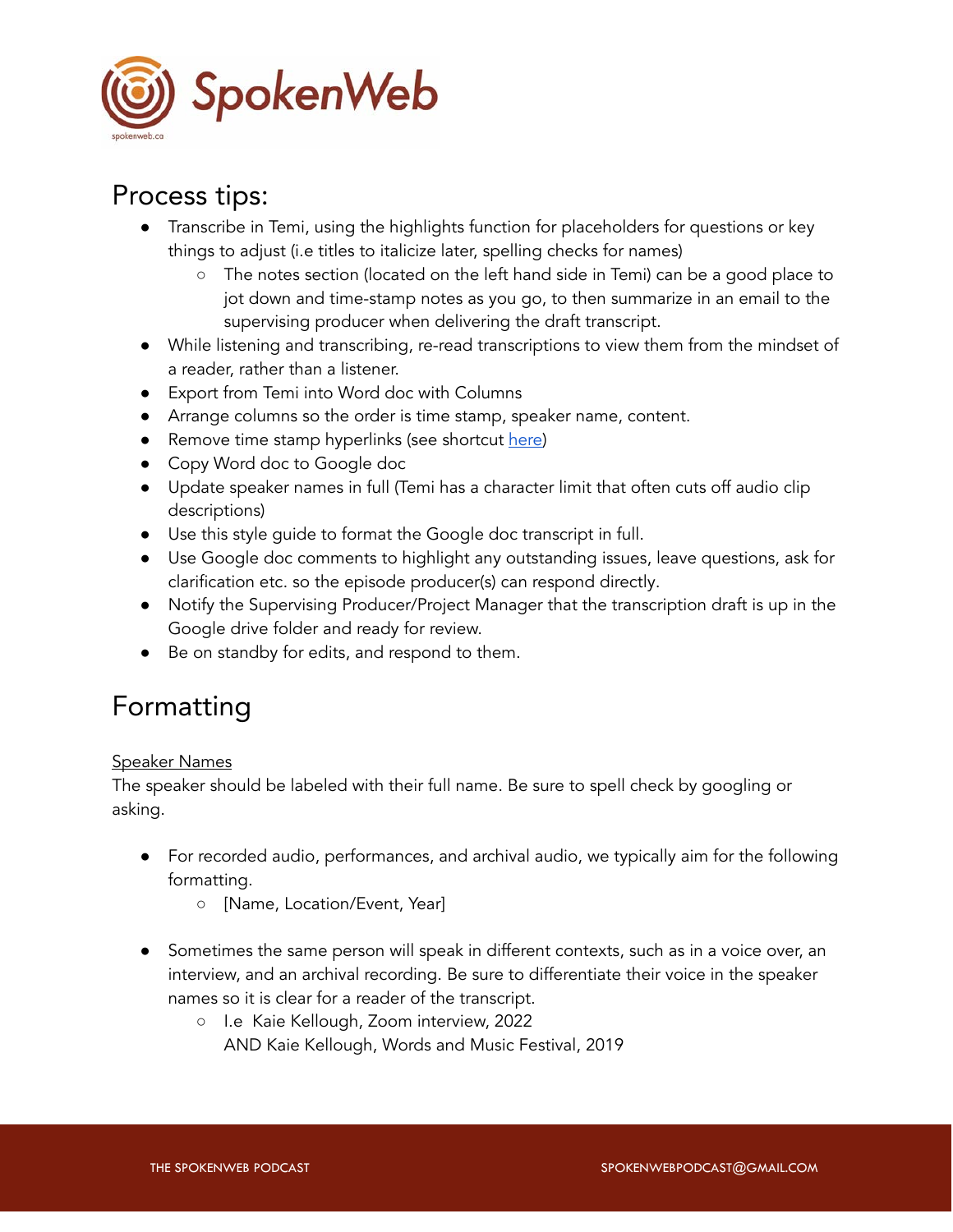

# Process tips:

- Transcribe in Temi, using the highlights function for placeholders for questions or key things to adjust (i.e titles to italicize later, spelling checks for names)
	- The notes section (located on the left hand side in Temi) can be a good place to jot down and time-stamp notes as you go, to then summarize in an email to the supervising producer when delivering the draft transcript.
- While listening and transcribing, re-read transcriptions to view them from the mindset of a reader, rather than a listener.
- Export from Temi into Word doc with Columns
- Arrange columns so the order is time stamp, speaker name, content.
- Remove time stamp hyperlinks (see shortcut [here\)](https://pdf.wondershare.com/word/remove-hyperlink-in-word-mac.html)
- Copy Word doc to Google doc
- Update speaker names in full (Temi has a character limit that often cuts off audio clip descriptions)
- Use this style guide to format the Google doc transcript in full.
- Use Google doc comments to highlight any outstanding issues, leave questions, ask for clarification etc. so the episode producer(s) can respond directly.
- Notify the Supervising Producer/Project Manager that the transcription draft is up in the Google drive folder and ready for review.
- Be on standby for edits, and respond to them.

# Formatting

### Speaker Names

The speaker should be labeled with their full name. Be sure to spell check by googling or asking.

- For recorded audio, performances, and archival audio, we typically aim for the following formatting.
	- [Name, Location/Event, Year]
- Sometimes the same person will speak in different contexts, such as in a voice over, an interview, and an archival recording. Be sure to differentiate their voice in the speaker names so it is clear for a reader of the transcript.
	- I.e Kaie Kellough, Zoom interview, 2022 AND Kaie Kellough, Words and Music Festival, 2019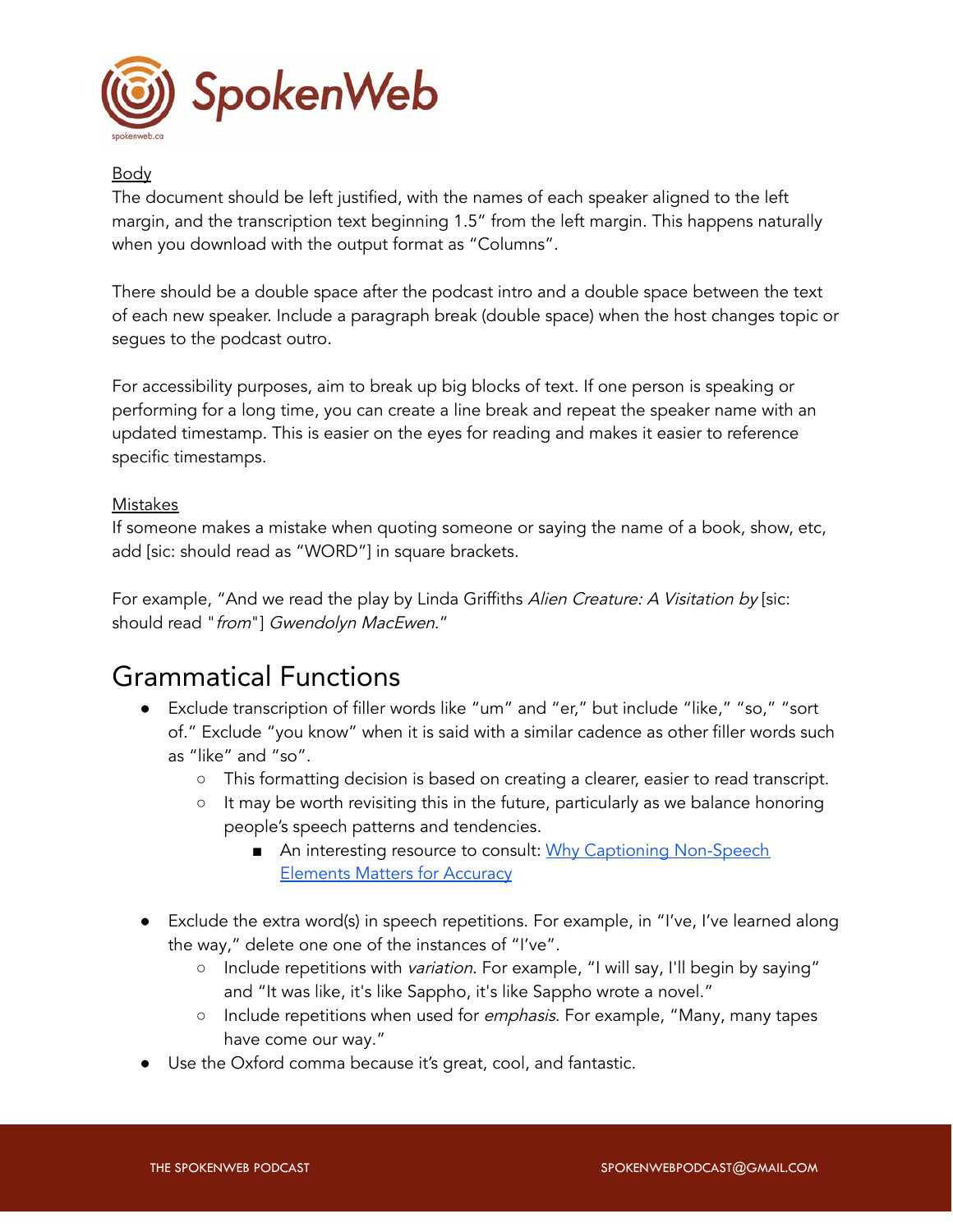

### Body

The document should be left justified, with the names of each speaker aligned to the left margin, and the transcription text beginning 1.5" from the left margin. This happens naturally when you download with the output format as "Columns".

There should be a double space after the podcast intro and a double space between the text of each new speaker. Include a paragraph break (double space) when the host changes topic or segues to the podcast outro.

For accessibility purposes, aim to break up big blocks of text. If one person is speaking or performing for a long time, you can create a line break and repeat the speaker name with an updated timestamp. This is easier on the eyes for reading and makes it easier to reference specific timestamps.

#### Mistakes

If someone makes a mistake when quoting someone or saying the name of a book, show, etc, add [sic: should read as "WORD"] in square brackets.

For example, "And we read the play by Linda Griffiths Alien Creature: A Visitation by [sic: should read "from"] Gwendolyn MacEwen."

# Grammatical Functions

- Exclude transcription of filler words like "um" and "er," but include "like," "so," "sort of." Exclude "you know" when it is said with a similar cadence as other filler words such as "like" and "so".
	- This formatting decision is based on creating a clearer, easier to read transcript.
	- It may be worth revisiting this in the future, particularly as we balance honoring people's speech patterns and tendencies.
		- An interesting resource to consult: [Why Captioning Non-Speech](https://www.3playmedia.com/blog/why-captioning-non-speech-elements-matters-for-accuracy/) [Elements Matters for Accuracy](https://www.3playmedia.com/blog/why-captioning-non-speech-elements-matters-for-accuracy/)
- Exclude the extra word(s) in speech repetitions. For example, in "I've, I've learned along the way," delete one one of the instances of "I've".
	- o Include repetitions with variation. For example, "I will say, I'll begin by saying" and "It was like, it's like Sappho, it's like Sappho wrote a novel."
	- o Include repetitions when used for *emphasis*. For example, "Many, many tapes have come our way."
- Use the Oxford comma because it's great, cool, and fantastic.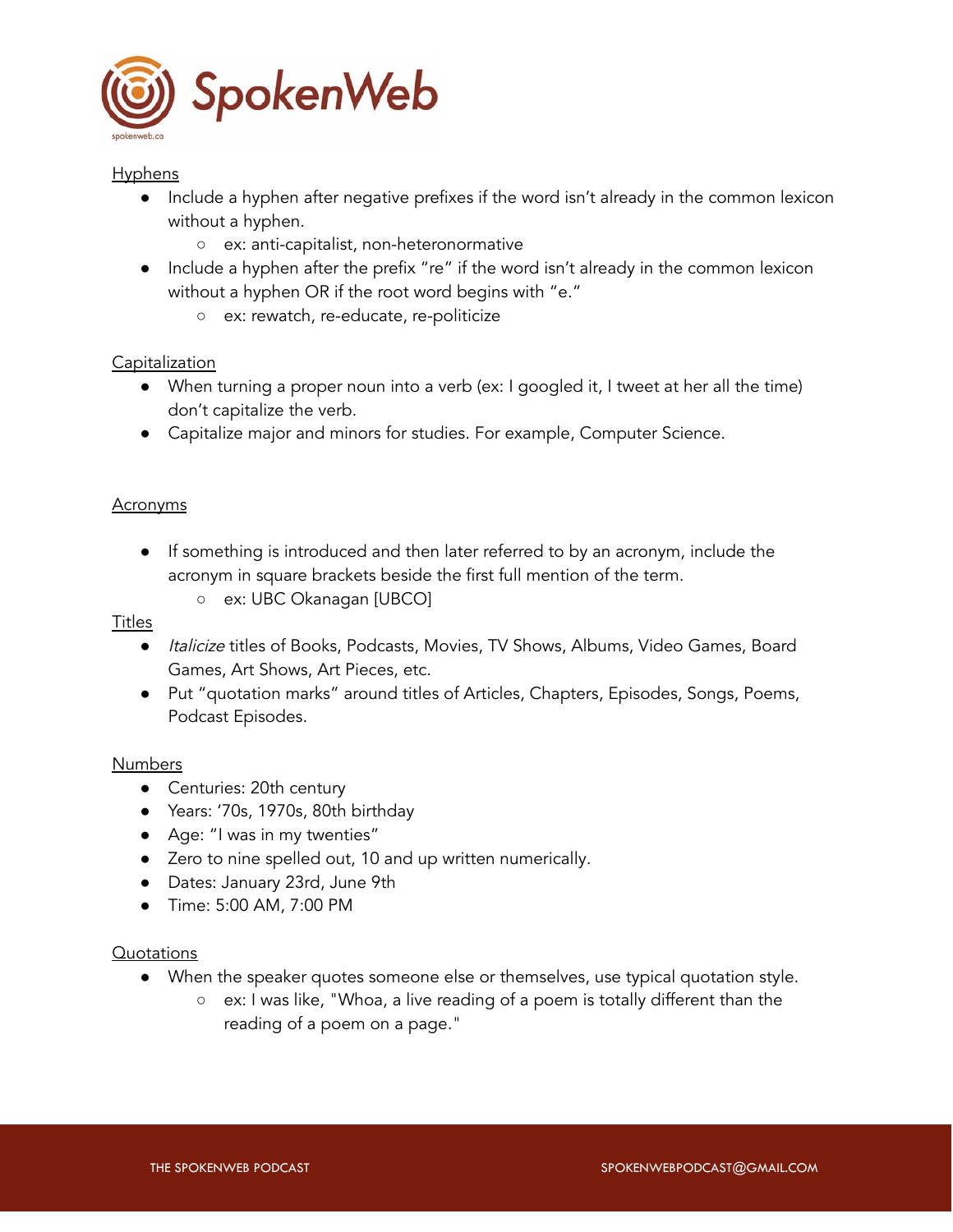

#### **Hyphens**

- Include a hyphen after negative prefixes if the word isn't already in the common lexicon without a hyphen.
	- ex: anti-capitalist, non-heteronormative
- Include a hyphen after the prefix "re" if the word isn't already in the common lexicon without a hyphen OR if the root word begins with "e."
	- ex: rewatch, re-educate, re-politicize

### **Capitalization**

- When turning a proper noun into a verb (ex: I googled it, I tweet at her all the time) don't capitalize the verb.
- Capitalize major and minors for studies. For example, Computer Science.

#### **Acronyms**

- If something is introduced and then later referred to by an acronym, include the acronym in square brackets beside the first full mention of the term.
	- ex: UBC Okanagan [UBCO]

#### Titles

- Italicize titles of Books, Podcasts, Movies, TV Shows, Albums, Video Games, Board Games, Art Shows, Art Pieces, etc.
- Put "quotation marks" around titles of Articles, Chapters, Episodes, Songs, Poems, Podcast Episodes.

#### Numbers

- Centuries: 20th century
- Years: '70s, 1970s, 80th birthday
- Age: "I was in my twenties"
- Zero to nine spelled out, 10 and up written numerically.
- Dates: January 23rd, June 9th
- Time: 5:00 AM, 7:00 PM

#### Quotations

- When the speaker quotes someone else or themselves, use typical quotation style.
	- ex: I was like, "Whoa, a live reading of a poem is totally different than the reading of a poem on a page."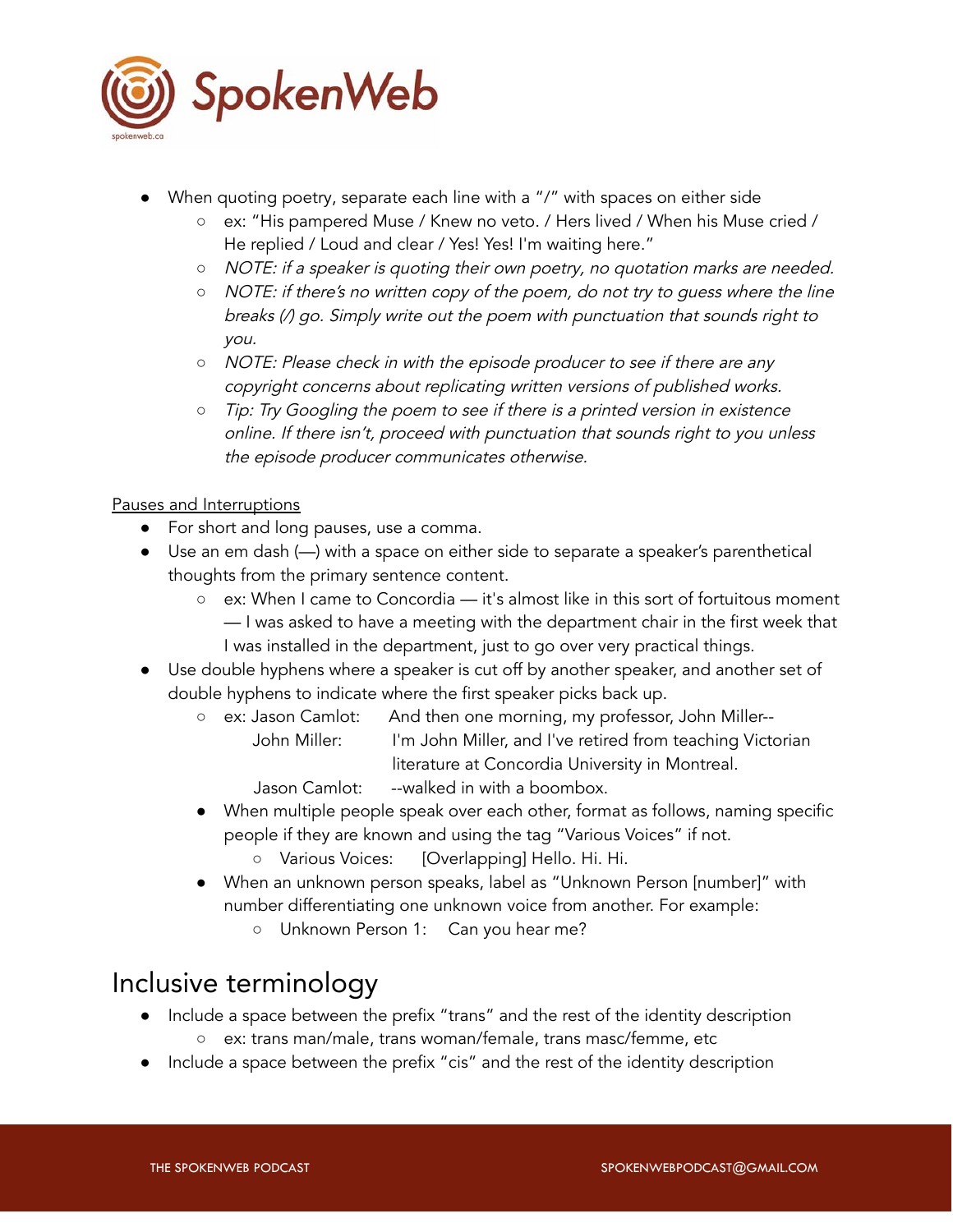

- When quoting poetry, separate each line with a "/" with spaces on either side
	- ex: "His pampered Muse / Knew no veto. / Hers lived / When his Muse cried / He replied / Loud and clear / Yes! Yes! I'm waiting here."
	- *○* NOTE: if a speaker is quoting their own poetry, no quotation marks are needed.
	- *○* NOTE: if there's no written copy of the poem, do not try to guess where the line breaks (/) go. Simply write out the poem with punctuation that sounds right to you.
	- *○* NOTE: Please check in with the episode producer to see if there are any copyright concerns about replicating written versions of published works.
	- *○* Tip: Try Googling the poem to see if there is a printed version in existence online. If there isn't, proceed with punctuation that sounds right to you unless the episode producer communicates otherwise.

### Pauses and Interruptions

- For short and long pauses, use a comma.
- Use an em dash (—) with a space on either side to separate a speaker's parenthetical thoughts from the primary sentence content.
	- $\circ$  ex: When I came to Concordia it's almost like in this sort of fortuitous moment — I was asked to have a meeting with the department chair in the first week that I was installed in the department, just to go over very practical things.
- Use double hyphens where a speaker is cut off by another speaker, and another set of double hyphens to indicate where the first speaker picks back up.
	- ex: Jason Camlot: And then one morning, my professor, John Miller-- John Miller: I'm John Miller, and I've retired from teaching Victorian literature at Concordia University in Montreal.
		- Jason Camlot: --walked in with a boombox.
	- When multiple people speak over each other, format as follows, naming specific people if they are known and using the tag "Various Voices" if not.
		- Various Voices: [Overlapping] Hello. Hi. Hi.
	- When an unknown person speaks, label as "Unknown Person [number]" with number differentiating one unknown voice from another. For example:
		- Unknown Person 1: Can you hear me?

# Inclusive terminology

- Include a space between the prefix "trans" and the rest of the identity description
	- ex: trans man/male, trans woman/female, trans masc/femme, etc
- Include a space between the prefix "cis" and the rest of the identity description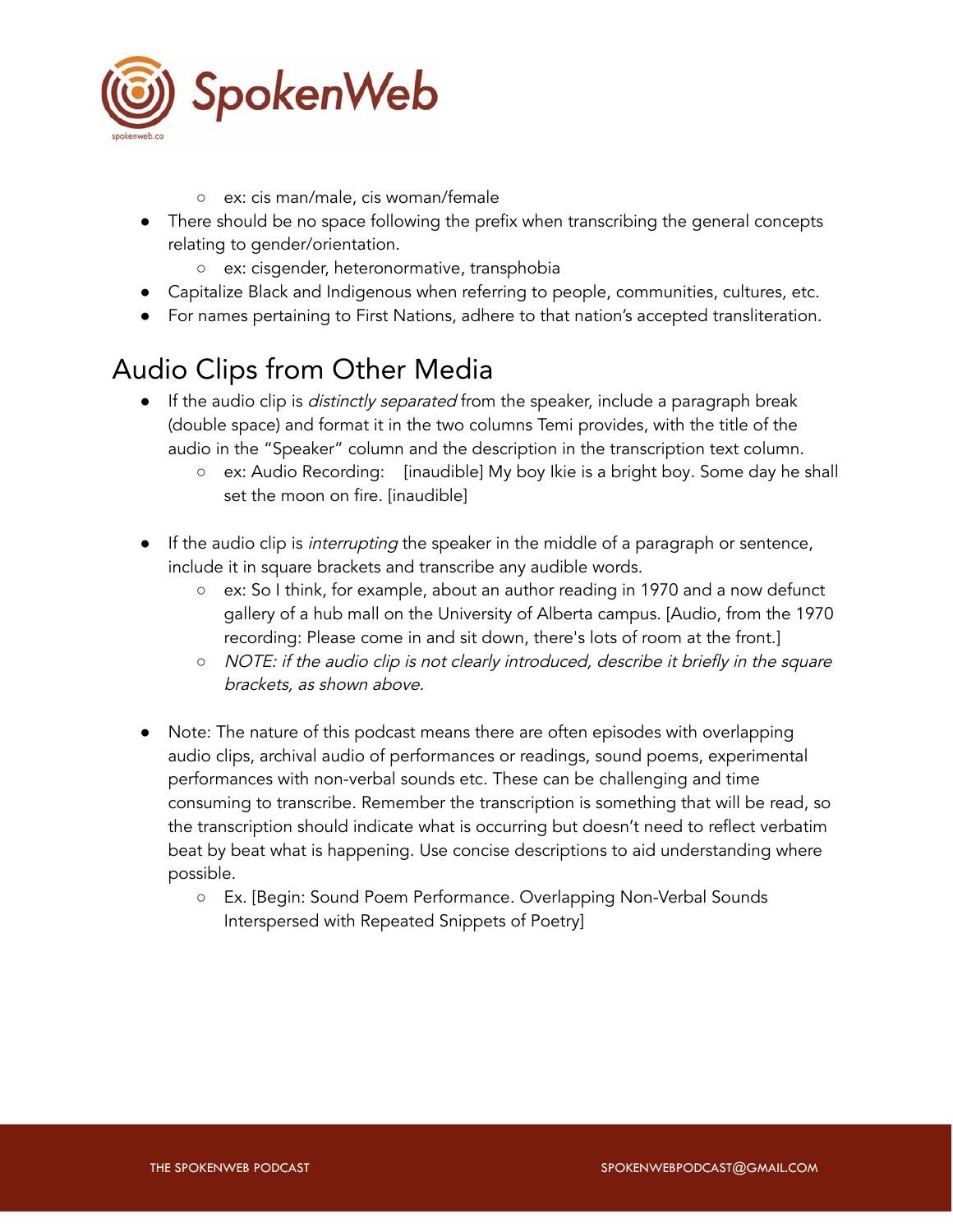

- ex: cis man/male, cis woman/female
- There should be no space following the prefix when transcribing the general concepts relating to gender/orientation.
	- ex: cisgender, heteronormative, transphobia
- Capitalize Black and Indigenous when referring to people, communities, cultures, etc.
- For names pertaining to First Nations, adhere to that nation's accepted transliteration.

# Audio Clips from Other Media

- **•** If the audio clip is *distinctly separated* from the speaker, include a paragraph break (double space) and format it in the two columns Temi provides, with the title of the audio in the "Speaker" column and the description in the transcription text column.
	- ex: Audio Recording: [inaudible] My boy Ikie is a bright boy. Some day he shall set the moon on fire. [inaudible]
- If the audio clip is *interrupting* the speaker in the middle of a paragraph or sentence, include it in square brackets and transcribe any audible words.
	- ex: So I think, for example, about an author reading in 1970 and a now defunct gallery of a hub mall on the University of Alberta campus. [Audio, from the 1970 recording: Please come in and sit down, there's lots of room at the front.]
	- *○* NOTE: if the audio clip is not clearly introduced, describe it briefly in the square brackets, as shown above.
- Note: The nature of this podcast means there are often episodes with overlapping audio clips, archival audio of performances or readings, sound poems, experimental performances with non-verbal sounds etc. These can be challenging and time consuming to transcribe. Remember the transcription is something that will be read, so the transcription should indicate what is occurring but doesn't need to reflect verbatim beat by beat what is happening. Use concise descriptions to aid understanding where possible.
	- Ex. [Begin: Sound Poem Performance. Overlapping Non-Verbal Sounds Interspersed with Repeated Snippets of Poetry]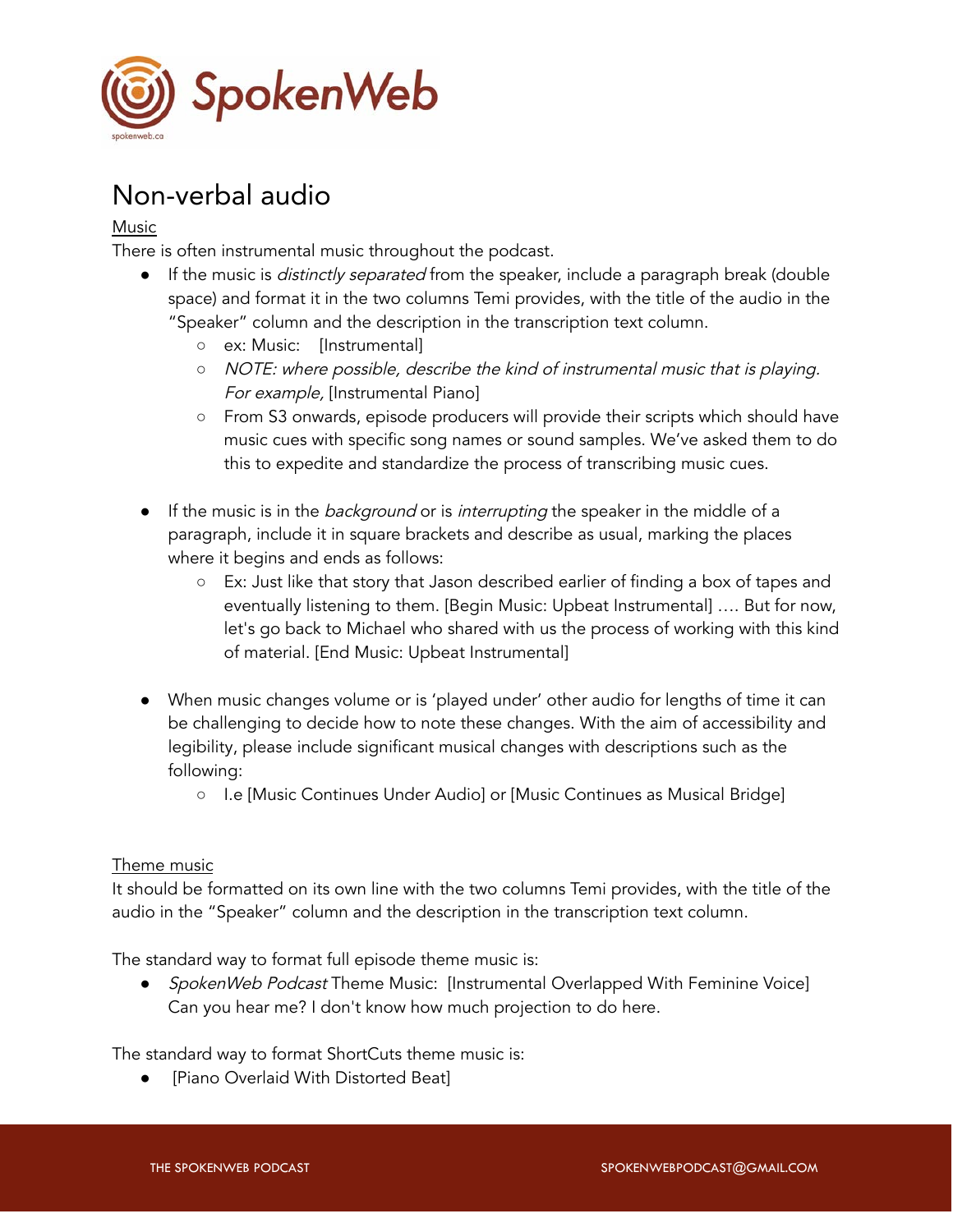

# Non-verbal audio

### Music

There is often instrumental music throughout the podcast.

- If the music is *distinctly separated* from the speaker, include a paragraph break (double space) and format it in the two columns Temi provides, with the title of the audio in the "Speaker" column and the description in the transcription text column.
	- ex: Music: [Instrumental]
	- *○* NOTE: where possible, describe the kind of instrumental music that is playing. For example, [Instrumental Piano]
	- From S3 onwards, episode producers will provide their scripts which should have music cues with specific song names or sound samples. We've asked them to do this to expedite and standardize the process of transcribing music cues.
- If the music is in the *background* or is *interrupting* the speaker in the middle of a paragraph, include it in square brackets and describe as usual, marking the places where it begins and ends as follows:
	- Ex: Just like that story that Jason described earlier of finding a box of tapes and eventually listening to them. [Begin Music: Upbeat Instrumental] …. But for now, let's go back to Michael who shared with us the process of working with this kind of material. [End Music: Upbeat Instrumental]
- When music changes volume or is 'played under' other audio for lengths of time it can be challenging to decide how to note these changes. With the aim of accessibility and legibility, please include significant musical changes with descriptions such as the following:
	- I.e [Music Continues Under Audio] or [Music Continues as Musical Bridge]

#### Theme music

It should be formatted on its own line with the two columns Temi provides, with the title of the audio in the "Speaker" column and the description in the transcription text column.

The standard way to format full episode theme music is:

• SpokenWeb Podcast Theme Music: [Instrumental Overlapped With Feminine Voice] Can you hear me? I don't know how much projection to do here.

The standard way to format ShortCuts theme music is:

[Piano Overlaid With Distorted Beat]